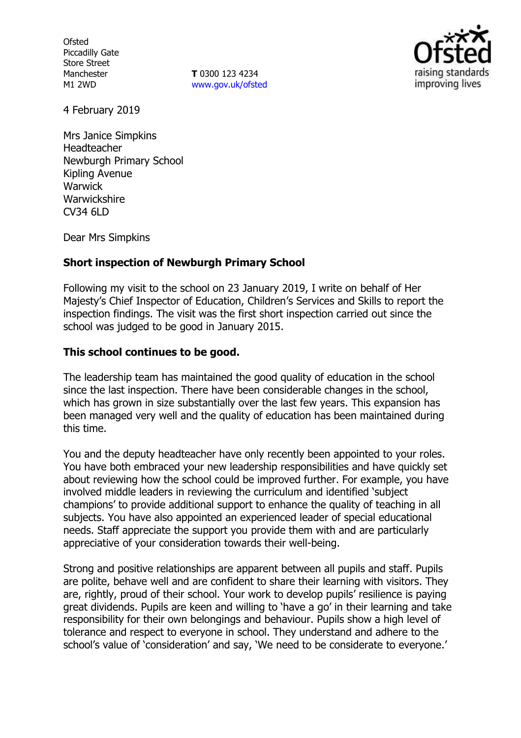**Ofsted** Piccadilly Gate Store Street Manchester M1 2WD

**T** 0300 123 4234 www.gov.uk/ofsted



4 February 2019

Mrs Janice Simpkins Headteacher Newburgh Primary School Kipling Avenue Warwick **Warwickshire** CV34 6LD

Dear Mrs Simpkins

## **Short inspection of Newburgh Primary School**

Following my visit to the school on 23 January 2019, I write on behalf of Her Majesty"s Chief Inspector of Education, Children"s Services and Skills to report the inspection findings. The visit was the first short inspection carried out since the school was judged to be good in January 2015.

## **This school continues to be good.**

The leadership team has maintained the good quality of education in the school since the last inspection. There have been considerable changes in the school, which has grown in size substantially over the last few years. This expansion has been managed very well and the quality of education has been maintained during this time.

You and the deputy headteacher have only recently been appointed to your roles. You have both embraced your new leadership responsibilities and have quickly set about reviewing how the school could be improved further. For example, you have involved middle leaders in reviewing the curriculum and identified "subject champions" to provide additional support to enhance the quality of teaching in all subjects. You have also appointed an experienced leader of special educational needs. Staff appreciate the support you provide them with and are particularly appreciative of your consideration towards their well-being.

Strong and positive relationships are apparent between all pupils and staff. Pupils are polite, behave well and are confident to share their learning with visitors. They are, rightly, proud of their school. Your work to develop pupils' resilience is paying great dividends. Pupils are keen and willing to "have a go" in their learning and take responsibility for their own belongings and behaviour. Pupils show a high level of tolerance and respect to everyone in school. They understand and adhere to the school's value of 'consideration' and say, 'We need to be considerate to everyone.'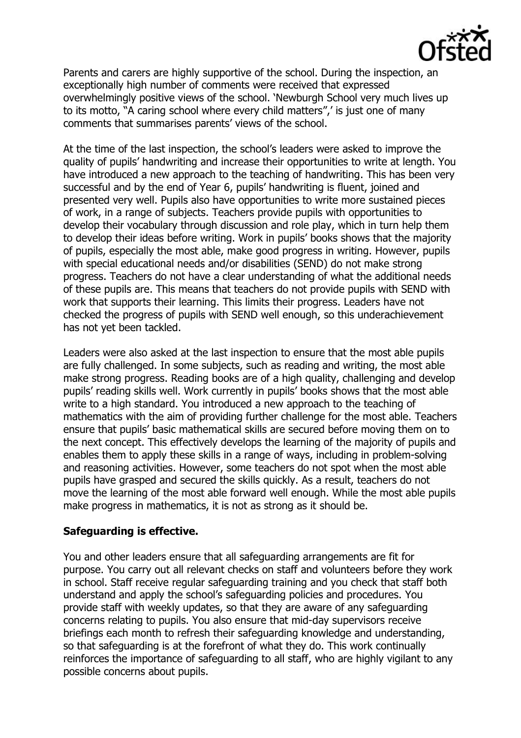

Parents and carers are highly supportive of the school. During the inspection, an exceptionally high number of comments were received that expressed overwhelmingly positive views of the school. "Newburgh School very much lives up to its motto, "A caring school where every child matters",' is just one of many comments that summarises parents' views of the school.

At the time of the last inspection, the school's leaders were asked to improve the quality of pupils" handwriting and increase their opportunities to write at length. You have introduced a new approach to the teaching of handwriting. This has been very successful and by the end of Year 6, pupils" handwriting is fluent, joined and presented very well. Pupils also have opportunities to write more sustained pieces of work, in a range of subjects. Teachers provide pupils with opportunities to develop their vocabulary through discussion and role play, which in turn help them to develop their ideas before writing. Work in pupils" books shows that the majority of pupils, especially the most able, make good progress in writing. However, pupils with special educational needs and/or disabilities (SEND) do not make strong progress. Teachers do not have a clear understanding of what the additional needs of these pupils are. This means that teachers do not provide pupils with SEND with work that supports their learning. This limits their progress. Leaders have not checked the progress of pupils with SEND well enough, so this underachievement has not yet been tackled.

Leaders were also asked at the last inspection to ensure that the most able pupils are fully challenged. In some subjects, such as reading and writing, the most able make strong progress. Reading books are of a high quality, challenging and develop pupils' reading skills well. Work currently in pupils' books shows that the most able write to a high standard. You introduced a new approach to the teaching of mathematics with the aim of providing further challenge for the most able. Teachers ensure that pupils" basic mathematical skills are secured before moving them on to the next concept. This effectively develops the learning of the majority of pupils and enables them to apply these skills in a range of ways, including in problem-solving and reasoning activities. However, some teachers do not spot when the most able pupils have grasped and secured the skills quickly. As a result, teachers do not move the learning of the most able forward well enough. While the most able pupils make progress in mathematics, it is not as strong as it should be.

# **Safeguarding is effective.**

You and other leaders ensure that all safeguarding arrangements are fit for purpose. You carry out all relevant checks on staff and volunteers before they work in school. Staff receive regular safeguarding training and you check that staff both understand and apply the school"s safeguarding policies and procedures. You provide staff with weekly updates, so that they are aware of any safeguarding concerns relating to pupils. You also ensure that mid-day supervisors receive briefings each month to refresh their safeguarding knowledge and understanding, so that safeguarding is at the forefront of what they do. This work continually reinforces the importance of safeguarding to all staff, who are highly vigilant to any possible concerns about pupils.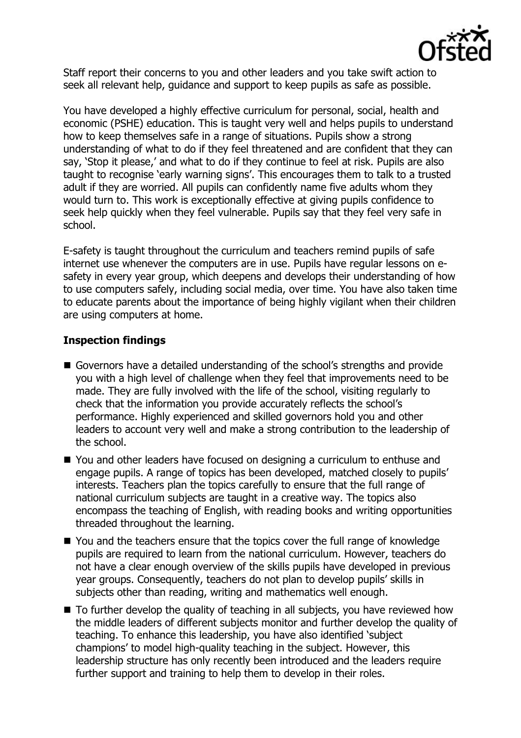

Staff report their concerns to you and other leaders and you take swift action to seek all relevant help, guidance and support to keep pupils as safe as possible.

You have developed a highly effective curriculum for personal, social, health and economic (PSHE) education. This is taught very well and helps pupils to understand how to keep themselves safe in a range of situations. Pupils show a strong understanding of what to do if they feel threatened and are confident that they can say, 'Stop it please,' and what to do if they continue to feel at risk. Pupils are also taught to recognise 'early warning signs'. This encourages them to talk to a trusted adult if they are worried. All pupils can confidently name five adults whom they would turn to. This work is exceptionally effective at giving pupils confidence to seek help quickly when they feel vulnerable. Pupils say that they feel very safe in school.

E-safety is taught throughout the curriculum and teachers remind pupils of safe internet use whenever the computers are in use. Pupils have regular lessons on esafety in every year group, which deepens and develops their understanding of how to use computers safely, including social media, over time. You have also taken time to educate parents about the importance of being highly vigilant when their children are using computers at home.

# **Inspection findings**

- Governors have a detailed understanding of the school's strengths and provide you with a high level of challenge when they feel that improvements need to be made. They are fully involved with the life of the school, visiting regularly to check that the information you provide accurately reflects the school"s performance. Highly experienced and skilled governors hold you and other leaders to account very well and make a strong contribution to the leadership of the school.
- You and other leaders have focused on designing a curriculum to enthuse and engage pupils. A range of topics has been developed, matched closely to pupils" interests. Teachers plan the topics carefully to ensure that the full range of national curriculum subjects are taught in a creative way. The topics also encompass the teaching of English, with reading books and writing opportunities threaded throughout the learning.
- You and the teachers ensure that the topics cover the full range of knowledge pupils are required to learn from the national curriculum. However, teachers do not have a clear enough overview of the skills pupils have developed in previous year groups. Consequently, teachers do not plan to develop pupils" skills in subjects other than reading, writing and mathematics well enough.
- To further develop the quality of teaching in all subjects, you have reviewed how the middle leaders of different subjects monitor and further develop the quality of teaching. To enhance this leadership, you have also identified "subject champions" to model high-quality teaching in the subject. However, this leadership structure has only recently been introduced and the leaders require further support and training to help them to develop in their roles.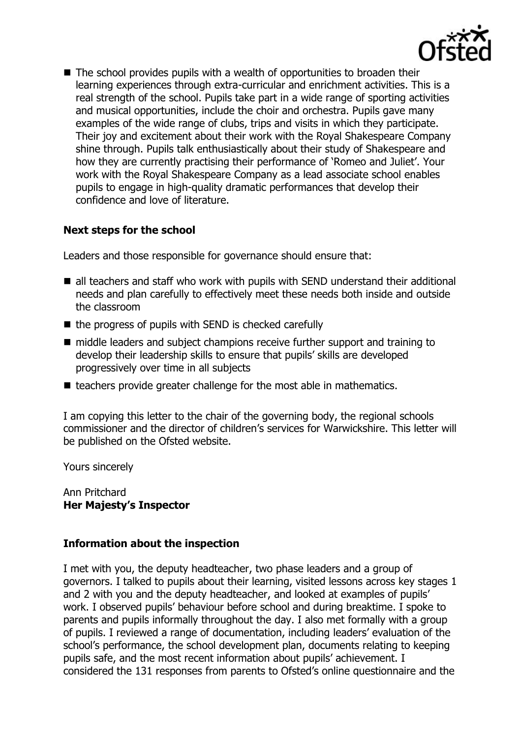

■ The school provides pupils with a wealth of opportunities to broaden their learning experiences through extra-curricular and enrichment activities. This is a real strength of the school. Pupils take part in a wide range of sporting activities and musical opportunities, include the choir and orchestra. Pupils gave many examples of the wide range of clubs, trips and visits in which they participate. Their joy and excitement about their work with the Royal Shakespeare Company shine through. Pupils talk enthusiastically about their study of Shakespeare and how they are currently practising their performance of "Romeo and Juliet". Your work with the Royal Shakespeare Company as a lead associate school enables pupils to engage in high-quality dramatic performances that develop their confidence and love of literature.

# **Next steps for the school**

Leaders and those responsible for governance should ensure that:

- all teachers and staff who work with pupils with SEND understand their additional needs and plan carefully to effectively meet these needs both inside and outside the classroom
- $\blacksquare$  the progress of pupils with SEND is checked carefully
- middle leaders and subject champions receive further support and training to develop their leadership skills to ensure that pupils" skills are developed progressively over time in all subjects
- teachers provide greater challenge for the most able in mathematics.

I am copying this letter to the chair of the governing body, the regional schools commissioner and the director of children"s services for Warwickshire. This letter will be published on the Ofsted website.

Yours sincerely

Ann Pritchard **Her Majesty's Inspector**

# **Information about the inspection**

I met with you, the deputy headteacher, two phase leaders and a group of governors. I talked to pupils about their learning, visited lessons across key stages 1 and 2 with you and the deputy headteacher, and looked at examples of pupils" work. I observed pupils" behaviour before school and during breaktime. I spoke to parents and pupils informally throughout the day. I also met formally with a group of pupils. I reviewed a range of documentation, including leaders" evaluation of the school"s performance, the school development plan, documents relating to keeping pupils safe, and the most recent information about pupils' achievement. I considered the 131 responses from parents to Ofsted"s online questionnaire and the